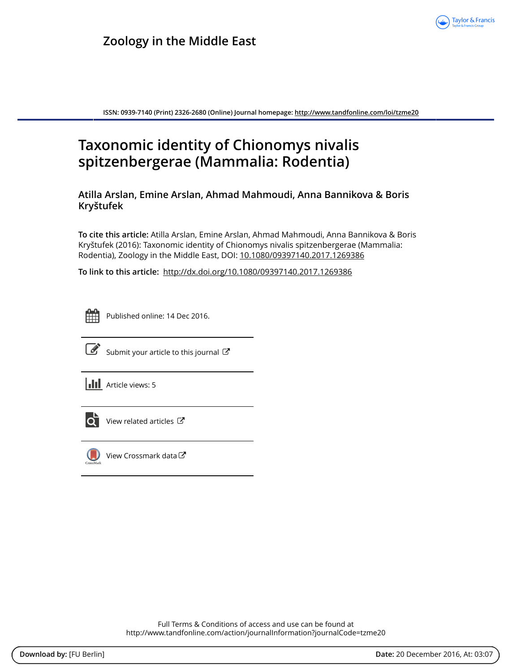

**ISSN: 0939-7140 (Print) 2326-2680 (Online) Journal homepage:<http://www.tandfonline.com/loi/tzme20>**

# **Taxonomic identity of Chionomys nivalis spitzenbergerae (Mammalia: Rodentia)**

**Atilla Arslan, Emine Arslan, Ahmad Mahmoudi, Anna Bannikova & Boris Kryštufek**

**To cite this article:** Atilla Arslan, Emine Arslan, Ahmad Mahmoudi, Anna Bannikova & Boris Kryštufek (2016): Taxonomic identity of Chionomys nivalis spitzenbergerae (Mammalia: Rodentia), Zoology in the Middle East, DOI: [10.1080/09397140.2017.1269386](http://www.tandfonline.com/action/showCitFormats?doi=10.1080/09397140.2017.1269386)

**To link to this article:** <http://dx.doi.org/10.1080/09397140.2017.1269386>



Published online: 14 Dec 2016.



[Submit your article to this journal](http://www.tandfonline.com/action/authorSubmission?journalCode=tzme20&show=instructions)  $\mathbb{Z}$ 

 $\left\| \cdot \right\|$  Article views: 5



 $\overrightarrow{Q}$  [View related articles](http://www.tandfonline.com/doi/mlt/10.1080/09397140.2017.1269386)  $\overrightarrow{C}$ 



[View Crossmark data](http://crossmark.crossref.org/dialog/?doi=10.1080/09397140.2017.1269386&domain=pdf&date_stamp=2016-12-14) $\sigma$ 

Full Terms & Conditions of access and use can be found at <http://www.tandfonline.com/action/journalInformation?journalCode=tzme20>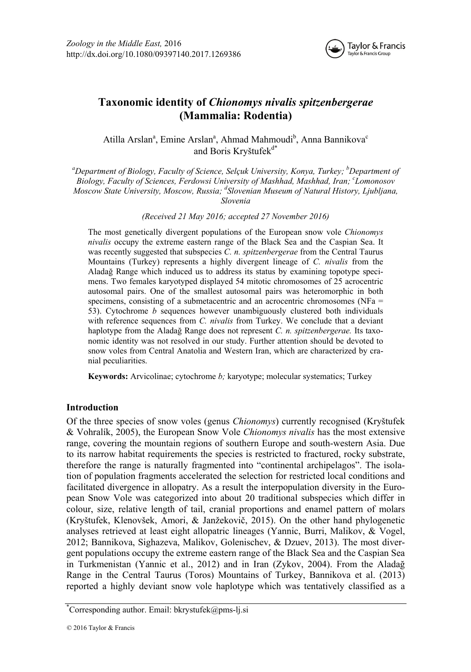

# **Taxonomic identity of** *Chionomys nivalis spitzenbergerae*  **(Mammalia: Rodentia)**

Atilla Arslan<sup>a</sup>, Emine Arslan<sup>a</sup>, Ahmad Mahmoudi<sup>b</sup>, Anna Bannikova<sup>c</sup> and Boris Kryštufek<sup>d\*</sup>

<sup>a</sup>Department of Biology, Faculty of Science, Selçuk University, Konya, Turkey; <sup>b</sup>Department of *Biology, Faculty of Sciences, Ferdowsi University of Mashhad, Mashhad, Iran; c Lomonosov Moscow State University, Moscow, Russia; <sup>d</sup> Slovenian Museum of Natural History, Ljubljana, Slovenia* 

*(Received 21 May 2016; accepted 27 November 2016)* 

The most genetically divergent populations of the European snow vole *Chionomys nivalis* occupy the extreme eastern range of the Black Sea and the Caspian Sea. It was recently suggested that subspecies *C. n. spitzenbergerae* from the Central Taurus Mountains (Turkey) represents a highly divergent lineage of *C. nivalis* from the Aladağ Range which induced us to address its status by examining topotype specimens. Two females karyotyped displayed 54 mitotic chromosomes of 25 acrocentric autosomal pairs. One of the smallest autosomal pairs was heteromorphic in both specimens, consisting of a submetacentric and an acrocentric chromosomes (NFa = 53). Cytochrome *b* sequences however unambiguously clustered both individuals with reference sequences from *C. nivalis* from Turkey. We conclude that a deviant haplotype from the Aladağ Range does not represent *C. n. spitzenbergerae.* Its taxonomic identity was not resolved in our study. Further attention should be devoted to snow voles from Central Anatolia and Western Iran, which are characterized by cranial peculiarities.

**Keywords:** Arvicolinae; cytochrome *b;* karyotype; molecular systematics; Turkey

# **Introduction**

Of the three species of snow voles (genus *Chionomys*) currently recognised (Kryštufek & Vohralík, 2005), the European Snow Vole *Chionomys nivalis* has the most extensive range, covering the mountain regions of southern Europe and south-western Asia. Due to its narrow habitat requirements the species is restricted to fractured, rocky substrate, therefore the range is naturally fragmented into "continental archipelagos". The isolation of population fragments accelerated the selection for restricted local conditions and facilitated divergence in allopatry. As a result the interpopulation diversity in the European Snow Vole was categorized into about 20 traditional subspecies which differ in colour, size, relative length of tail, cranial proportions and enamel pattern of molars (Kryštufek, Klenovšek, Amori, & Janžekovič, 2015). On the other hand phylogenetic analyses retrieved at least eight allopatric lineages (Yannic, Burri, Malikov, & Vogel, 2012; Bannikova, Sighazeva, Malikov, Golenischev, & Dzuev, 2013). The most divergent populations occupy the extreme eastern range of the Black Sea and the Caspian Sea in Turkmenistan (Yannic et al., 2012) and in Iran (Zykov, 2004). From the Aladağ Range in the Central Taurus (Toros) Mountains of Turkey, Bannikova et al. (2013) reported a highly deviant snow vole haplotype which was tentatively classified as a

<sup>\*</sup> Corresponding author. Email: bkrystufek@pms-lj.si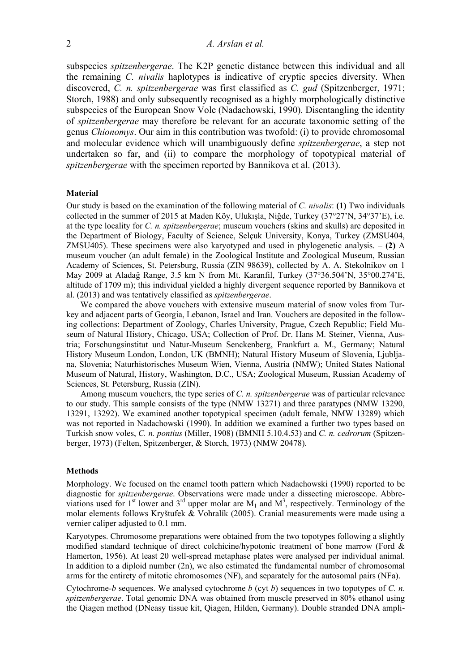subspecies *spitzenbergerae*. The K2P genetic distance between this individual and all the remaining *C. nivalis* haplotypes is indicative of cryptic species diversity. When discovered, *C. n. spitzenbergerae* was first classified as *C. gud* (Spitzenberger, 1971; Storch, 1988) and only subsequently recognised as a highly morphologically distinctive subspecies of the European Snow Vole (Nadachowski, 1990). Disentangling the identity of *spitzenbergerae* may therefore be relevant for an accurate taxonomic setting of the genus *Chionomys*. Our aim in this contribution was twofold: (i) to provide chromosomal and molecular evidence which will unambiguously define *spitzenbergerae*, a step not undertaken so far, and (ii) to compare the morphology of topotypical material of *spitzenbergerae* with the specimen reported by Bannikova et al. (2013).

# **Material**

Our study is based on the examination of the following material of *C. nivalis*: **(1)** Two individuals collected in the summer of 2015 at Maden Köy, Ulukışla, Niğde, Turkey (37°27'N, 34°37'E), i.e. at the type locality for *C. n. spitzenbergerae*; museum vouchers (skins and skulls) are deposited in the Department of Biology, Faculty of Science, Selçuk University, Konya, Turkey (ZMSU404, ZMSU405). These specimens were also karyotyped and used in phylogenetic analysis.  $- (2)$  A museum voucher (an adult female) in the Zoological Institute and Zoological Museum, Russian Academy of Sciences, St. Petersburg, Russia (ZIN 98639), collected by А. А. Stekolnikov on 1 May 2009 at Aladağ Range, 3.5 km N from Mt. Karanfil, Turkey (37°36.504'N, 35°00.274'E, altitude of 1709 m); this individual yielded a highly divergent sequence reported by Bannikova et al. (2013) and was tentatively classified as *spitzenbergerae*.

We compared the above vouchers with extensive museum material of snow voles from Turkey and adjacent parts of Georgia, Lebanon, Israel and Iran. Vouchers are deposited in the following collections: Department of Zoology, Charles University, Prague, Czech Republic; Field Museum of Natural History, Chicago, USA; Collection of Prof. Dr. Hans M. Steiner, Vienna, Austria; Forschungsinstitut und Natur-Museum Senckenberg, Frankfurt a. M., Germany; Natural History Museum London, London, UK (BMNH); Natural History Museum of Slovenia, Ljubljana, Slovenia; Naturhistorisches Museum Wien, Vienna, Austria (NMW); United States National Museum of Natural, History, Washington, D.C., USA; Zoological Museum, Russian Academy of Sciences, St. Petersburg, Russia (ZIN).

Among museum vouchers, the type series of *C. n. spitzenbergerae* was of particular relevance to our study. This sample consists of the type (NMW 13271) and three paratypes (NMW 13290, 13291, 13292). We examined another topotypical specimen (adult female, NMW 13289) which was not reported in Nadachowski (1990). In addition we examined a further two types based on Turkish snow voles, *C. n. pontius* (Miller, 1908) (BMNH 5.10.4.53) and *C. n. cedrorum* (Spitzenberger, 1973) (Felten, Spitzenberger, & Storch, 1973) (NMW 20478).

#### **Methods**

Morphology. We focused on the enamel tooth pattern which Nadachowski (1990) reported to be diagnostic for *spitzenbergerae*. Observations were made under a dissecting microscope. Abbreviations used for 1<sup>st</sup> lower and 3<sup>rd</sup> upper molar are  $M_1$  and  $M^3$ , respectively. Terminology of the molar elements follows Kryštufek & Vohralík (2005). Cranial measurements were made using a vernier caliper adjusted to 0.1 mm.

Karyotypes. Chromosome preparations were obtained from the two topotypes following a slightly modified standard technique of direct colchicine/hypotonic treatment of bone marrow (Ford & Hamerton, 1956). At least 20 well-spread metaphase plates were analysed per individual animal. In addition to a diploid number  $(2n)$ , we also estimated the fundamental number of chromosomal arms for the entirety of mitotic chromosomes (NF), and separately for the autosomal pairs (NFa).

Cytochrome-*b* sequences. We analysed cytochrome *b* (cyt *b*) sequences in two topotypes of *C. n. spitzenbergerae*. Total genomic DNA was obtained from muscle preserved in 80% ethanol using the Qiagen method (DNeasy tissue kit, Qiagen, Hilden, Germany). Double stranded DNA ampli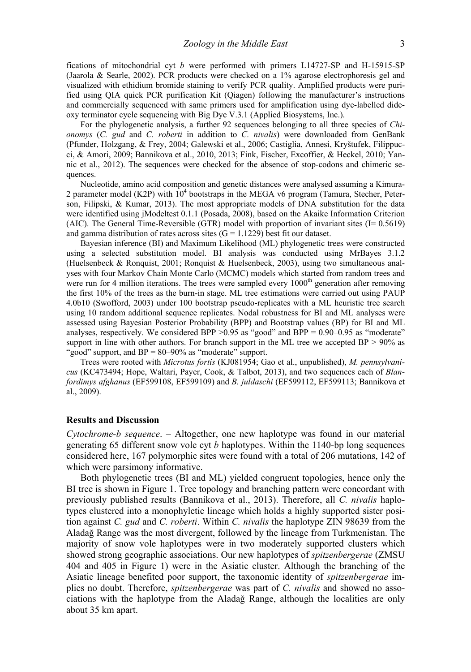fications of mitochondrial cyt *b* were performed with primers L14727-SP and H-15915-SP (Jaarola & Searle, 2002). PCR products were checked on a 1% agarose electrophoresis gel and visualized with ethidium bromide staining to verify PCR quality. Amplified products were purified using QIA quick PCR purification Kit (Qiagen) following the manufacturer's instructions and commercially sequenced with same primers used for amplification using dye-labelled dideoxy terminator cycle sequencing with Big Dye V.3.1 (Applied Biosystems, Inc.).

For the phylogenetic analysis, a further 92 sequences belonging to all three species of *Chionomys* (*C. gud* and *C. roberti* in addition to *C. nivalis*) were downloaded from GenBank (Pfunder, Holzgang, & Frey, 2004; Galewski et al., 2006; Castiglia, Annesi, Kryštufek, Filippucci, & Amori, 2009; Bannikova et al., 2010, 2013; Fink, Fischer, Excoffier, & Heckel, 2010; Yannic et al., 2012). The sequences were checked for the absence of stop-codons and chimeric sequences.

Nucleotide, amino acid composition and genetic distances were analysed assuming a Kimura-2 parameter model (K2P) with  $10^4$  bootstraps in the MEGA v6 program (Tamura, Stecher, Peterson, Filipski, & Kumar, 2013). The most appropriate models of DNA substitution for the data were identified using jModeltest 0.1.1 (Posada, 2008), based on the Akaike Information Criterion (AIC). The General Time-Reversible (GTR) model with proportion of invariant sites ( $I = 0.5619$ ) and gamma distribution of rates across sites  $(G = 1.1229)$  best fit our dataset.

Bayesian inference (BI) and Maximum Likelihood (ML) phylogenetic trees were constructed using a selected substitution model. BI analysis was conducted using MrBayes 3.1.2 (Huelsenbeck & Ronquist, 2001; Ronquist & Huelsenbeck, 2003), using two simultaneous analyses with four Markov Chain Monte Carlo (MCMC) models which started from random trees and were run for 4 million iterations. The trees were sampled every  $1000<sup>th</sup>$  generation after removing the first 10% of the trees as the burn-in stage. ML tree estimations were carried out using PAUP 4.0b10 (Swofford, 2003) under 100 bootstrap pseudo-replicates with a ML heuristic tree search using 10 random additional sequence replicates. Nodal robustness for BI and ML analyses were assessed using Bayesian Posterior Probability (BPP) and Bootstrap values (BP) for BI and ML analyses, respectively. We considered BPP  $>0.95$  as "good" and BPP = 0.90–0.95 as "moderate" support in line with other authors. For branch support in the ML tree we accepted  $BP > 90\%$  as "good" support, and BP = 80–90% as "moderate" support.

Trees were rooted with *Microtus fortis* (KJ081954; Gao et al., unpublished), *M. pennsylvanicus* (KC473494; Hope, Waltari, Payer, Cook, & Talbot, 2013), and two sequences each of *Blanfordimys afghanus* (EF599108, EF599109) and *B. juldaschi* (EF599112, EF599113; Bannikova et al., 2009).

## **Results and Discussion**

*Cytochrome-b sequence*. – Altogether, one new haplotype was found in our material generating 65 different snow vole cyt *b* haplotypes. Within the 1140-bp long sequences considered here, 167 polymorphic sites were found with a total of 206 mutations, 142 of which were parsimony informative.

Both phylogenetic trees (BI and ML) yielded congruent topologies, hence only the BI tree is shown in Figure 1. Tree topology and branching pattern were concordant with previously published results (Bannikova et al., 2013). Therefore, all *C. nivalis* haplotypes clustered into a monophyletic lineage which holds a highly supported sister position against *C. gud* and *C. roberti*. Within *C. nivalis* the haplotype ZIN 98639 from the Aladağ Range was the most divergent, followed by the lineage from Turkmenistan. The majority of snow vole haplotypes were in two moderately supported clusters which showed strong geographic associations. Our new haplotypes of *spitzenbergerae* (ZMSU 404 and 405 in Figure 1) were in the Asiatic cluster. Although the branching of the Asiatic lineage benefited poor support, the taxonomic identity of *spitzenbergerae* implies no doubt. Therefore, *spitzenbergerae* was part of *C. nivalis* and showed no associations with the haplotype from the Aladağ Range, although the localities are only about 35 km apart.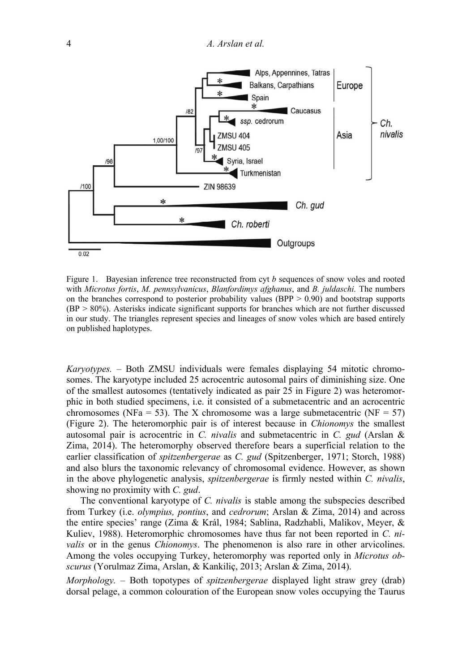

Figure 1. Bayesian inference tree reconstructed from cyt *b* sequences of snow voles and rooted with *Microtus fortis*, *M. pennsylvanicus*, *Blanfordimys afghanus*, and *B. juldaschi.* The numbers on the branches correspond to posterior probability values ( $BPP > 0.90$ ) and bootstrap supports (BP > 80%). Asterisks indicate significant supports for branches which are not further discussed in our study. The triangles represent species and lineages of snow voles which are based entirely on published haplotypes.

*Karyotypes.* – Both ZMSU individuals were females displaying 54 mitotic chromosomes. The karyotype included 25 acrocentric autosomal pairs of diminishing size. One of the smallest autosomes (tentatively indicated as pair 25 in Figure 2) was heteromorphic in both studied specimens, i.e. it consisted of a submetacentric and an acrocentric chromosomes (NFa = 53). The X chromosome was a large submetacentric (NF = 57) (Figure 2). The heteromorphic pair is of interest because in *Chionomys* the smallest autosomal pair is acrocentric in *C. nivalis* and submetacentric in *C. gud* (Arslan & Zima, 2014). The heteromorphy observed therefore bears a superficial relation to the earlier classification of *spitzenbergerae* as *C. gud* (Spitzenberger, 1971; Storch, 1988) and also blurs the taxonomic relevancy of chromosomal evidence. However, as shown in the above phylogenetic analysis, *spitzenbergerae* is firmly nested within *C. nivalis*, showing no proximity with *C. gud*.

The conventional karyotype of *C. nivalis* is stable among the subspecies described from Turkey (i.e. *olympius, pontius*, and *cedrorum*; Arslan & Zima, 2014) and across the entire species' range (Zima & Král, 1984; Sablina, Radzhabli, Malikov, Meyer, & Kuliev, 1988). Heteromorphic chromosomes have thus far not been reported in *C. nivalis* or in the genus *Chionomys*. The phenomenon is also rare in other arvicolines. Among the voles occupying Turkey, heteromorphy was reported only in *Microtus obscurus* (Yorulmaz Zima, Arslan, & Kankiliç, 2013; Arslan & Zima, 2014).

*Morphology.* – Both topotypes of *spitzenbergerae* displayed light straw grey (drab) dorsal pelage, a common colouration of the European snow voles occupying the Taurus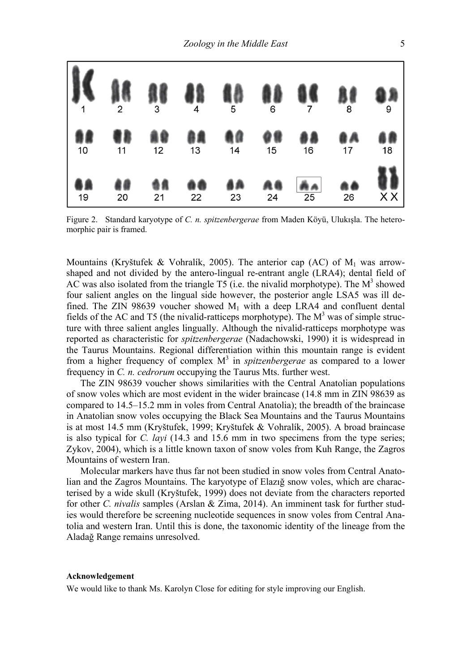

Figure 2. Standard karyotype of *C. n. spitzenbergerae* from Maden Köyü, Ulukışla. The heteromorphic pair is framed.

Mountains (Kryštufek & Vohralík, 2005). The anterior cap (AC) of  $M_1$  was arrowshaped and not divided by the antero-lingual re-entrant angle (LRA4); dental field of AC was also isolated from the triangle T5 (i.e. the nivalid morphotype). The  $M<sup>3</sup>$  showed four salient angles on the lingual side however, the posterior angle LSA5 was ill defined. The ZIN 98639 voucher showed  $M_1$  with a deep LRA4 and confluent dental fields of the AC and T5 (the nivalid-ratticeps morphotype). The  $M<sup>3</sup>$  was of simple structure with three salient angles lingually. Although the nivalid-ratticeps morphotype was reported as characteristic for *spitzenbergerae* (Nadachowski, 1990) it is widespread in the Taurus Mountains. Regional differentiation within this mountain range is evident from a higher frequency of complex  $M<sup>3</sup>$  in *spitzenbergerae* as compared to a lower frequency in *C. n. cedrorum* occupying the Taurus Mts. further west.

The ZIN 98639 voucher shows similarities with the Central Anatolian populations of snow voles which are most evident in the wider braincase (14.8 mm in ZIN 98639 as compared to 14.5–15.2 mm in voles from Central Anatolia); the breadth of the braincase in Anatolian snow voles occupying the Black Sea Mountains and the Taurus Mountains is at most 14.5 mm (Kryštufek, 1999; Kryštufek & Vohralík, 2005). A broad braincase is also typical for *C. layi* (14.3 and 15.6 mm in two specimens from the type series; Zykov, 2004), which is a little known taxon of snow voles from Kuh Range, the Zagros Mountains of western Iran.

Molecular markers have thus far not been studied in snow voles from Central Anatolian and the Zagros Mountains. The karyotype of Elazığ snow voles, which are characterised by a wide skull (Kryštufek, 1999) does not deviate from the characters reported for other *C. nivalis* samples (Arslan & Zima, 2014). An imminent task for further studies would therefore be screening nucleotide sequences in snow voles from Central Anatolia and western Iran. Until this is done, the taxonomic identity of the lineage from the Aladağ Range remains unresolved.

# **Acknowledgement**

We would like to thank Ms. Karolyn Close for editing for style improving our English.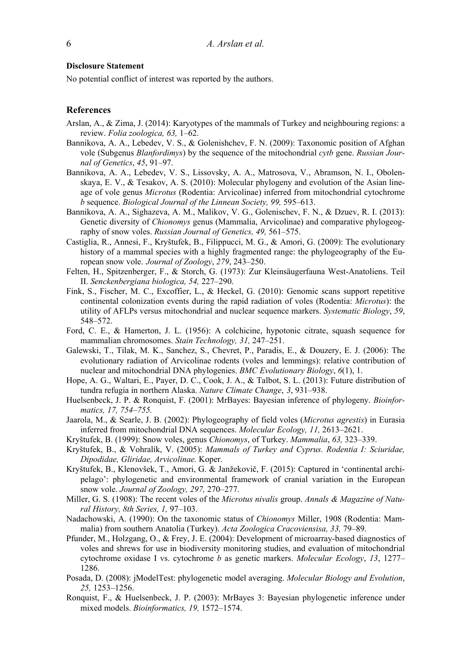# **Disclosure Statement**

No potential conflict of interest was reported by the authors.

# **References**

- Arslan, A., & Zima, J. (2014): Karyotypes of the mammals of Turkey and neighbouring regions: a review. *Folia zoologica, 63,* 1–62.
- Bannikova, A. A., Lebedev, V. S., & Golenishchev, F. N. (2009): Taxonomic position of Afghan vole (Subgenus *Blanfordimys*) by the sequence of the mitochondrial *cytb* gene. *Russian Journal of Genetics*, *45*, 91–97.
- Bannikova, A. A., Lebedev, V. S., Lissovsky, A. A., Matrosova, V., Abramson, N. I., Obolenskaya, E. V., & Tesakov, A. S. (2010): Molecular phylogeny and evolution of the Asian lineage of vole genus *Microtus* (Rodentia: Arvicolinae) inferred from mitochondrial cytochrome *b* sequence. *Biological Journal of the Linnean Society, 99,* 595–613.
- Bannikova, A. A., Sighazeva, A. M., Malikov, V. G., Golenischev, F. N., & Dzuev, R. I. (2013): Genetic diversity of *Chionomys* genus (Mammalia, Arvicolinae) and comparative phylogeography of snow voles. *Russian Journal of Genetics, 49,* 561–575.
- Castiglia, R., Annesi, F., Kryštufek, B., Filippucci, M. G., & Amori, G. (2009): The evolutionary history of a mammal species with a highly fragmented range: the phylogeography of the European snow vole. *Journal of Zoology*, *279*, 243–250.
- Felten, H., Spitzenberger, F., & Storch, G. (1973): Zur Kleinsäugerfauna West-Anatoliens. Teil II. *Senckenbergiana biologica, 54,* 227–290.
- Fink, S., Fischer, M. C., Excoffier, L., & Heckel, G. (2010): Genomic scans support repetitive continental colonization events during the rapid radiation of voles (Rodentia: *Microtus*): the utility of AFLPs versus mitochondrial and nuclear sequence markers. *Systematic Biology*, *59*, 548–572.
- Ford, C. E., & Hamerton, J. L. (1956): A colchicine, hypotonic citrate, squash sequence for mammalian chromosomes. *Stain Technology, 31,* 247–251.
- Galewski, T., Tilak, M. K., Sanchez, S., Chevret, P., Paradis, E., & Douzery, E. J. (2006): The evolutionary radiation of Arvicolinae rodents (voles and lemmings): relative contribution of nuclear and mitochondrial DNA phylogenies. *BMC Evolutionary Biology*, *6*(1), 1.
- Hope, A. G., Waltari, E., Payer, D. C., Cook, J. A., & Talbot, S. L. (2013): Future distribution of tundra refugia in northern Alaska. *Nature Climate Change*, *3*, 931–938.
- Huelsenbeck, J. P. & Ronquist, F. (2001): MrBayes: Bayesian inference of phylogeny. *Bioinformatics, 17, 754–755.*
- Jaarola, M., & Searle, J. B. (2002): Phylogeography of field voles (*Microtus agrestis*) in Eurasia inferred from mitochondrial DNA sequences. *Molecular Ecology, 11,* 2613–2621.
- Kryštufek, B. (1999): Snow voles, genus *Chionomys*, of Turkey. *Mammalia*, *63,* 323–339.
- Kryštufek, B., & Vohralík, V. (2005): *Mammals of Turkey and Cyprus. Rodentia I: Sciuridae, Dipodidae, Gliridae, Arvicolinae.* Koper.
- Kryštufek, B., Klenovšek, T., Amori, G. & Janžekovič, F. (2015): Captured in 'continental archipelago': phylogenetic and environmental framework of cranial variation in the European snow vole. *Journal of Zoology, 297,* 270–277.
- Miller, G. S. (1908): The recent voles of the *Microtus nivalis* group. *Annals & Magazine of Natural History, 8th Series, 1,* 97–103.
- Nadachowski, A. (1990): On the taxonomic status of *Chionomys* Miller, 1908 (Rodentia: Mammalia) from southern Anatolia (Turkey). *Acta Zoologica Cracoviensisa, 33,* 79–89.
- Pfunder, M., Holzgang, O., & Frey, J. E. (2004): Development of microarray-based diagnostics of voles and shrews for use in biodiversity monitoring studies, and evaluation of mitochondrial cytochrome oxidase I vs. cytochrome *b* as genetic markers. *Molecular Ecology*, *13*, 1277– 1286.
- Posada, D. (2008): jModelTest: phylogenetic model averaging. *Molecular Biology and Evolution*, *25,* 1253–1256.
- Ronquist, F., & Huelsenbeck, J. P. (2003): MrBayes 3: Bayesian phylogenetic inference under mixed models. *Bioinformatics, 19,* 1572–1574.